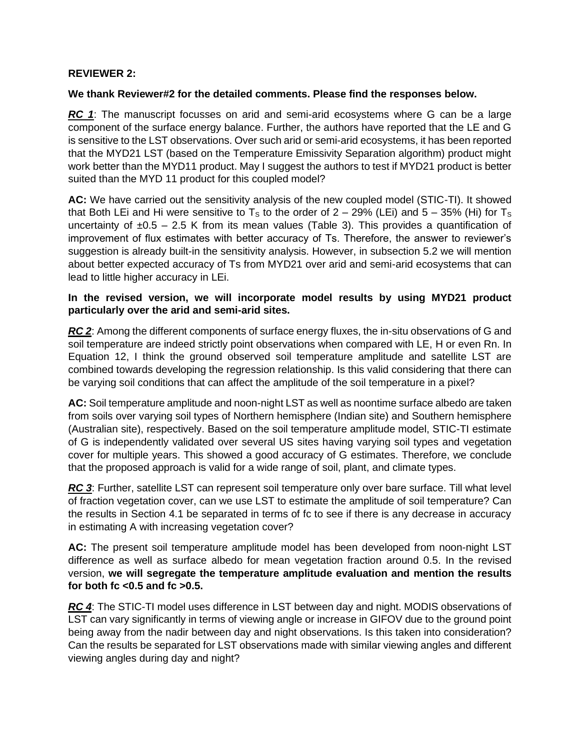# **REVIEWER 2:**

### **We thank Reviewer#2 for the detailed comments. Please find the responses below.**

**RC** 1: The manuscript focusses on arid and semi-arid ecosystems where G can be a large component of the surface energy balance. Further, the authors have reported that the LE and G is sensitive to the LST observations. Over such arid or semi-arid ecosystems, it has been reported that the MYD21 LST (based on the Temperature Emissivity Separation algorithm) product might work better than the MYD11 product. May I suggest the authors to test if MYD21 product is better suited than the MYD 11 product for this coupled model?

**AC:** We have carried out the sensitivity analysis of the new coupled model (STIC-TI). It showed that Both LEi and Hi were sensitive to T<sub>s</sub> to the order of  $2 - 29%$  (LEi) and  $5 - 35%$  (Hi) for T<sub>s</sub> uncertainty of  $\pm 0.5 - 2.5$  K from its mean values (Table 3). This provides a quantification of improvement of flux estimates with better accuracy of Ts. Therefore, the answer to reviewer's suggestion is already built-in the sensitivity analysis. However, in subsection 5.2 we will mention about better expected accuracy of Ts from MYD21 over arid and semi-arid ecosystems that can lead to little higher accuracy in LEi.

# **In the revised version, we will incorporate model results by using MYD21 product particularly over the arid and semi-arid sites.**

*RC 2*: Among the different components of surface energy fluxes, the in-situ observations of G and soil temperature are indeed strictly point observations when compared with LE, H or even Rn. In Equation 12, I think the ground observed soil temperature amplitude and satellite LST are combined towards developing the regression relationship. Is this valid considering that there can be varying soil conditions that can affect the amplitude of the soil temperature in a pixel?

**AC:** Soil temperature amplitude and noon-night LST as well as noontime surface albedo are taken from soils over varying soil types of Northern hemisphere (Indian site) and Southern hemisphere (Australian site), respectively. Based on the soil temperature amplitude model, STIC-TI estimate of G is independently validated over several US sites having varying soil types and vegetation cover for multiple years. This showed a good accuracy of G estimates. Therefore, we conclude that the proposed approach is valid for a wide range of soil, plant, and climate types.

RC 3: Further, satellite LST can represent soil temperature only over bare surface. Till what level of fraction vegetation cover, can we use LST to estimate the amplitude of soil temperature? Can the results in Section 4.1 be separated in terms of fc to see if there is any decrease in accuracy in estimating A with increasing vegetation cover?

**AC:** The present soil temperature amplitude model has been developed from noon-night LST difference as well as surface albedo for mean vegetation fraction around 0.5. In the revised version, **we will segregate the temperature amplitude evaluation and mention the results for both fc <0.5 and fc >0.5.**

*RC 4*: The STIC-TI model uses difference in LST between day and night. MODIS observations of LST can vary significantly in terms of viewing angle or increase in GIFOV due to the ground point being away from the nadir between day and night observations. Is this taken into consideration? Can the results be separated for LST observations made with similar viewing angles and different viewing angles during day and night?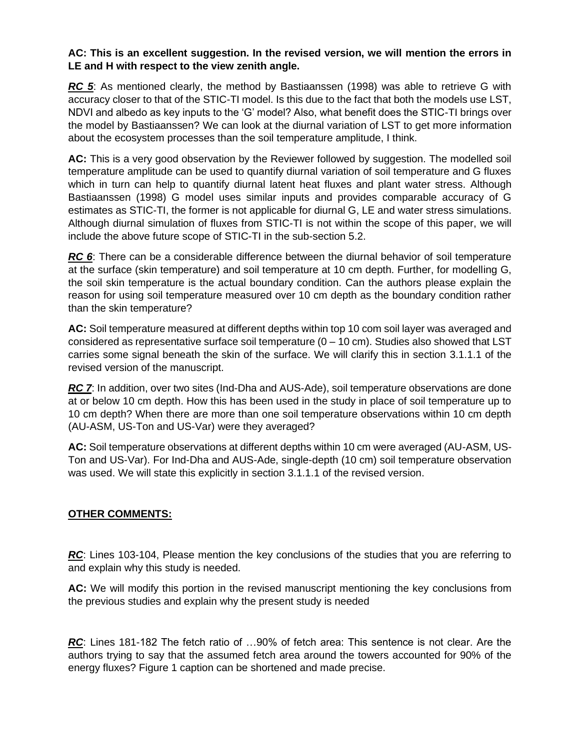# **AC: This is an excellent suggestion. In the revised version, we will mention the errors in LE and H with respect to the view zenith angle.**

*RC 5*: As mentioned clearly, the method by Bastiaanssen (1998) was able to retrieve G with accuracy closer to that of the STIC-TI model. Is this due to the fact that both the models use LST, NDVI and albedo as key inputs to the 'G' model? Also, what benefit does the STIC-TI brings over the model by Bastiaanssen? We can look at the diurnal variation of LST to get more information about the ecosystem processes than the soil temperature amplitude, I think.

**AC:** This is a very good observation by the Reviewer followed by suggestion. The modelled soil temperature amplitude can be used to quantify diurnal variation of soil temperature and G fluxes which in turn can help to quantify diurnal latent heat fluxes and plant water stress. Although Bastiaanssen (1998) G model uses similar inputs and provides comparable accuracy of G estimates as STIC-TI, the former is not applicable for diurnal G, LE and water stress simulations. Although diurnal simulation of fluxes from STIC-TI is not within the scope of this paper, we will include the above future scope of STIC-TI in the sub-section 5.2.

*RC* 6: There can be a considerable difference between the diurnal behavior of soil temperature at the surface (skin temperature) and soil temperature at 10 cm depth. Further, for modelling G, the soil skin temperature is the actual boundary condition. Can the authors please explain the reason for using soil temperature measured over 10 cm depth as the boundary condition rather than the skin temperature?

**AC:** Soil temperature measured at different depths within top 10 com soil layer was averaged and considered as representative surface soil temperature  $(0 - 10 \text{ cm})$ . Studies also showed that LST carries some signal beneath the skin of the surface. We will clarify this in section 3.1.1.1 of the revised version of the manuscript.

*RC 7*: In addition, over two sites (Ind-Dha and AUS-Ade), soil temperature observations are done at or below 10 cm depth. How this has been used in the study in place of soil temperature up to 10 cm depth? When there are more than one soil temperature observations within 10 cm depth (AU-ASM, US-Ton and US-Var) were they averaged?

**AC:** Soil temperature observations at different depths within 10 cm were averaged (AU-ASM, US-Ton and US-Var). For Ind-Dha and AUS-Ade, single-depth (10 cm) soil temperature observation was used. We will state this explicitly in section 3.1.1.1 of the revised version.

# **OTHER COMMENTS:**

*RC*: Lines 103-104, Please mention the key conclusions of the studies that you are referring to and explain why this study is needed.

**AC:** We will modify this portion in the revised manuscript mentioning the key conclusions from the previous studies and explain why the present study is needed

*RC*: Lines 181-182 The fetch ratio of …90% of fetch area: This sentence is not clear. Are the authors trying to say that the assumed fetch area around the towers accounted for 90% of the energy fluxes? Figure 1 caption can be shortened and made precise.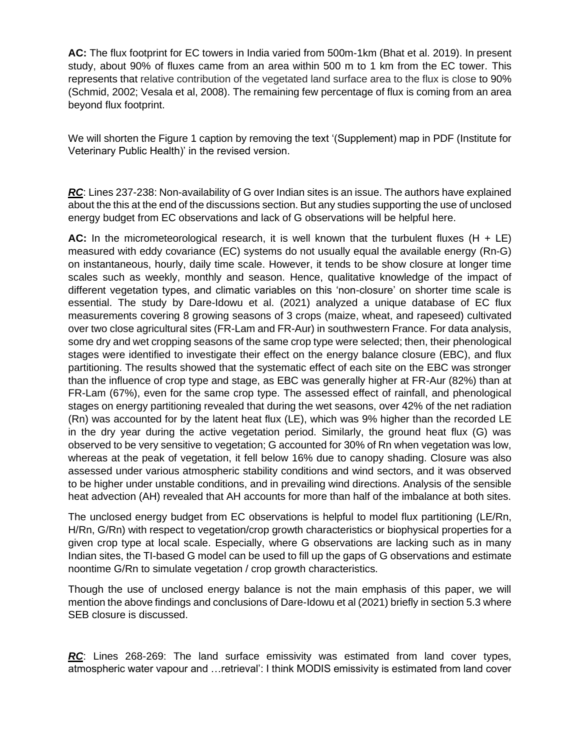**AC:** The flux footprint for EC towers in India varied from 500m-1km (Bhat et al. 2019). In present study, about 90% of fluxes came from an area within 500 m to 1 km from the EC tower. This represents that relative contribution of the vegetated land surface area to the flux is close to 90% (Schmid, 2002; Vesala et al, 2008). The remaining few percentage of flux is coming from an area beyond flux footprint.

We will shorten the Figure 1 caption by removing the text '(Supplement) map in PDF (Institute for Veterinary Public Health)' in the revised version.

*RC*: Lines 237-238: Non-availability of G over Indian sites is an issue. The authors have explained about the this at the end of the discussions section. But any studies supporting the use of unclosed energy budget from EC observations and lack of G observations will be helpful here.

**AC:** In the micrometeorological research, it is well known that the turbulent fluxes (H + LE) measured with eddy covariance (EC) systems do not usually equal the available energy (Rn-G) on instantaneous, hourly, daily time scale. However, it tends to be show closure at longer time scales such as weekly, monthly and season. Hence, qualitative knowledge of the impact of different vegetation types, and climatic variables on this 'non-closure' on shorter time scale is essential. The study by Dare-Idowu et al. (2021) analyzed a unique database of EC flux measurements covering 8 growing seasons of 3 crops (maize, wheat, and rapeseed) cultivated over two close agricultural sites (FR-Lam and FR-Aur) in southwestern France. For data analysis, some dry and wet cropping seasons of the same crop type were selected; then, their phenological stages were identified to investigate their effect on the energy balance closure (EBC), and flux partitioning. The results showed that the systematic effect of each site on the EBC was stronger than the influence of crop type and stage, as EBC was generally higher at FR-Aur (82%) than at FR-Lam (67%), even for the same crop type. The assessed effect of rainfall, and phenological stages on energy partitioning revealed that during the wet seasons, over 42% of the net radiation (Rn) was accounted for by the latent heat flux (LE), which was 9% higher than the recorded LE in the dry year during the active vegetation period. Similarly, the ground heat flux (G) was observed to be very sensitive to vegetation; G accounted for 30% of Rn when vegetation was low, whereas at the peak of vegetation, it fell below 16% due to canopy shading. Closure was also assessed under various atmospheric stability conditions and wind sectors, and it was observed to be higher under unstable conditions, and in prevailing wind directions. Analysis of the sensible heat advection (AH) revealed that AH accounts for more than half of the imbalance at both sites.

The unclosed energy budget from EC observations is helpful to model flux partitioning (LE/Rn, H/Rn, G/Rn) with respect to vegetation/crop growth characteristics or biophysical properties for a given crop type at local scale. Especially, where G observations are lacking such as in many Indian sites, the TI-based G model can be used to fill up the gaps of G observations and estimate noontime G/Rn to simulate vegetation / crop growth characteristics.

Though the use of unclosed energy balance is not the main emphasis of this paper, we will mention the above findings and conclusions of Dare-Idowu et al (2021) briefly in section 5.3 where SEB closure is discussed.

*RC*: Lines 268-269: The land surface emissivity was estimated from land cover types, atmospheric water vapour and …retrieval': I think MODIS emissivity is estimated from land cover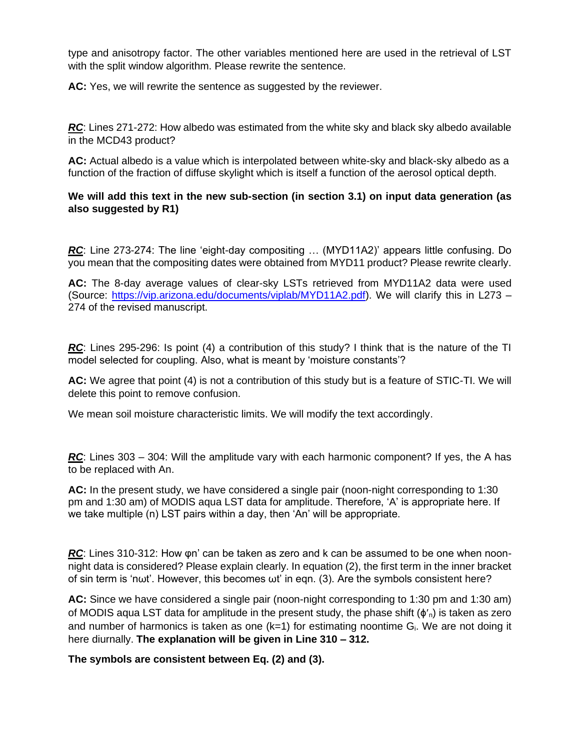type and anisotropy factor. The other variables mentioned here are used in the retrieval of LST with the split window algorithm. Please rewrite the sentence.

**AC:** Yes, we will rewrite the sentence as suggested by the reviewer.

*RC*: Lines 271-272: How albedo was estimated from the white sky and black sky albedo available in the MCD43 product?

**AC:** Actual albedo is a value which is interpolated between white-sky and black-sky albedo as a function of the fraction of diffuse skylight which is itself a function of the aerosol optical depth.

# **We will add this text in the new sub-section (in section 3.1) on input data generation (as also suggested by R1)**

*RC*: Line 273-274: The line 'eight-day compositing … (MYD11A2)' appears little confusing. Do you mean that the compositing dates were obtained from MYD11 product? Please rewrite clearly.

**AC:** The 8-day average values of clear-sky LSTs retrieved from MYD11A2 data were used (Source: [https://vip.arizona.edu/documents/viplab/MYD11A2.pdf\)](https://vip.arizona.edu/documents/viplab/MYD11A2.pdf). We will clarify this in L273 – 274 of the revised manuscript.

*RC*: Lines 295-296: Is point (4) a contribution of this study? I think that is the nature of the TI model selected for coupling. Also, what is meant by 'moisture constants'?

**AC:** We agree that point (4) is not a contribution of this study but is a feature of STIC-TI. We will delete this point to remove confusion.

We mean soil moisture characteristic limits. We will modify the text accordingly.

*RC*: Lines 303 – 304: Will the amplitude vary with each harmonic component? If yes, the A has to be replaced with An.

**AC:** In the present study, we have considered a single pair (noon-night corresponding to 1:30 pm and 1:30 am) of MODIS aqua LST data for amplitude. Therefore, 'A' is appropriate here. If we take multiple (n) LST pairs within a day, then 'An' will be appropriate.

*RC*: Lines 310-312: How φn' can be taken as zero and k can be assumed to be one when noonnight data is considered? Please explain clearly. In equation (2), the first term in the inner bracket of sin term is 'nωt'. However, this becomes ωt' in eqn. (3). Are the symbols consistent here?

**AC:** Since we have considered a single pair (noon-night corresponding to 1:30 pm and 1:30 am) of MODIS aqua LST data for amplitude in the present study, the phase shift  $(\phi_n)$  is taken as zero and number of harmonics is taken as one  $(k=1)$  for estimating noontime  $G_i$ . We are not doing it here diurnally. **The explanation will be given in Line 310 – 312.** 

**The symbols are consistent between Eq. (2) and (3).**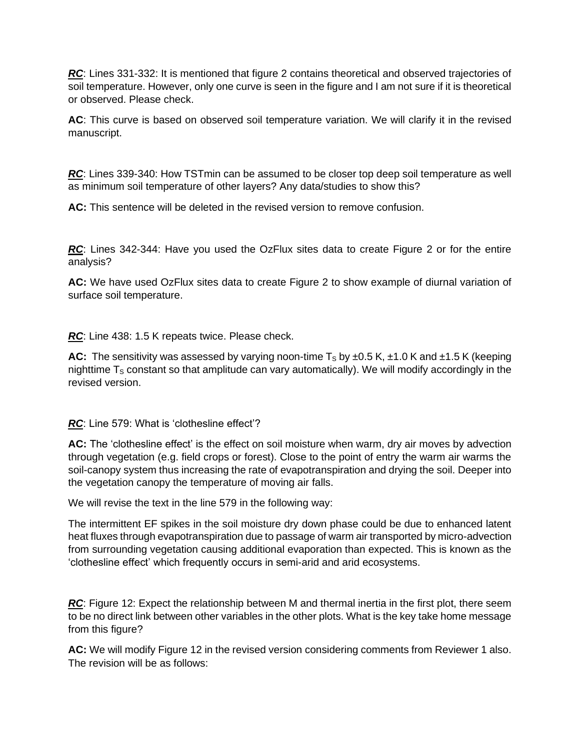*RC*: Lines 331-332: It is mentioned that figure 2 contains theoretical and observed trajectories of soil temperature. However, only one curve is seen in the figure and I am not sure if it is theoretical or observed. Please check.

AC: This curve is based on observed soil temperature variation. We will clarify it in the revised manuscript.

*RC*: Lines 339-340: How TSTmin can be assumed to be closer top deep soil temperature as well as minimum soil temperature of other layers? Any data/studies to show this?

**AC:** This sentence will be deleted in the revised version to remove confusion.

RC: Lines 342-344: Have you used the OzFlux sites data to create Figure 2 or for the entire analysis?

**AC:** We have used OzFlux sites data to create Figure 2 to show example of diurnal variation of surface soil temperature.

*RC*: Line 438: 1.5 K repeats twice. Please check.

**AC:** The sensitivity was assessed by varying noon-time  $T_s$  by  $\pm 0.5$  K,  $\pm 1.0$  K and  $\pm 1.5$  K (keeping nighttime  $T<sub>S</sub>$  constant so that amplitude can vary automatically). We will modify accordingly in the revised version.

*RC*: Line 579: What is 'clothesline effect'?

**AC:** The 'clothesline effect' is the effect on soil moisture when warm, dry air moves by advection through vegetation (e.g. field crops or forest). Close to the point of entry the warm air warms the soil-canopy system thus increasing the rate of evapotranspiration and drying the soil. Deeper into the vegetation canopy the temperature of moving air falls.

We will revise the text in the line 579 in the following way:

The intermittent EF spikes in the soil moisture dry down phase could be due to enhanced latent heat fluxes through evapotranspiration due to passage of warm air transported by micro-advection from surrounding vegetation causing additional evaporation than expected. This is known as the 'clothesline effect' which frequently occurs in semi-arid and arid ecosystems.

**RC**: Figure 12: Expect the relationship between M and thermal inertia in the first plot, there seem to be no direct link between other variables in the other plots. What is the key take home message from this figure?

**AC:** We will modify Figure 12 in the revised version considering comments from Reviewer 1 also. The revision will be as follows: